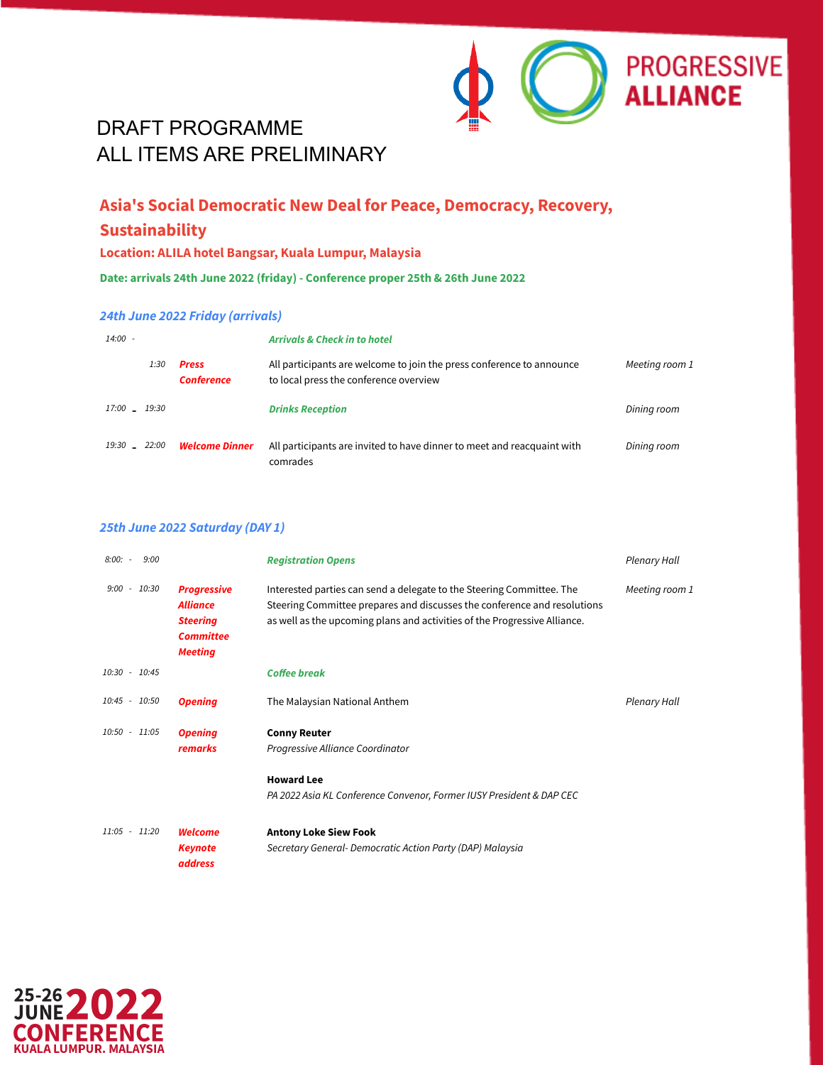

### **Asia's Social Democratic New Deal for Peace, Democracy, Recovery, Sustainability**

#### **Location: ALILA hotel Bangsar, Kuala Lumpur, Malaysia**

**Date: arrivals 24th June 2022 (friday) - Conference proper 25th & 26th June 2022**

#### *24th June 2022 Friday (arrivals)*

| $14:00 -$     |                                   | <b>Arrivals &amp; Check in to hotel</b>                                                                         |                |  |
|---------------|-----------------------------------|-----------------------------------------------------------------------------------------------------------------|----------------|--|
| 1:30          | <b>Press</b><br><b>Conference</b> | All participants are welcome to join the press conference to announce<br>to local press the conference overview | Meeting room 1 |  |
| 17:00 - 19:30 |                                   | <b>Drinks Reception</b>                                                                                         | Dining room    |  |
| 19:30 - 22:00 | <b>Welcome Dinner</b>             | All participants are invited to have dinner to meet and reacquaint with<br>comrades                             | Dining room    |  |

#### *25th June 2022 Saturday (DAY 1)*

| $8:00: -$<br>9:00 |                                                                                                | <b>Registration Opens</b>                                                                                                                                                                                                      | <b>Plenary Hall</b> |
|-------------------|------------------------------------------------------------------------------------------------|--------------------------------------------------------------------------------------------------------------------------------------------------------------------------------------------------------------------------------|---------------------|
| $9:00 - 10:30$    | <b>Progressive</b><br><b>Alliance</b><br><b>Steering</b><br><b>Committee</b><br><b>Meeting</b> | Interested parties can send a delegate to the Steering Committee. The<br>Steering Committee prepares and discusses the conference and resolutions<br>as well as the upcoming plans and activities of the Progressive Alliance. | Meeting room 1      |
| $10:30 - 10:45$   |                                                                                                | <b>Coffee break</b>                                                                                                                                                                                                            |                     |
| $10:45 - 10:50$   | <b>Opening</b>                                                                                 | The Malaysian National Anthem                                                                                                                                                                                                  | <b>Plenary Hall</b> |
| $10:50 - 11:05$   | <b>Opening</b><br>remarks                                                                      | <b>Conny Reuter</b><br>Progressive Alliance Coordinator<br><b>Howard Lee</b>                                                                                                                                                   |                     |
|                   |                                                                                                | PA 2022 Asia KL Conference Convenor, Former IUSY President & DAP CEC                                                                                                                                                           |                     |
| $11:05 - 11:20$   | <b>Welcome</b><br><b>Keynote</b><br>address                                                    | <b>Antony Loke Siew Fook</b><br>Secretary General-Democratic Action Party (DAP) Malaysia                                                                                                                                       |                     |

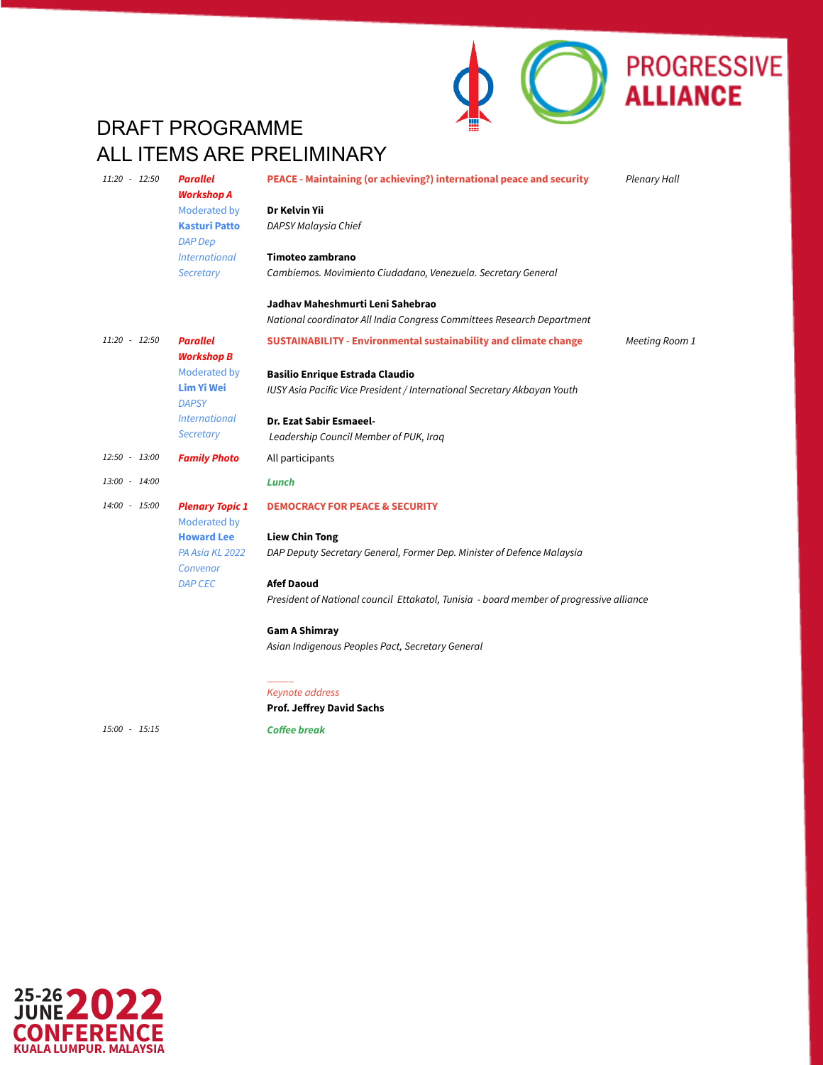

| 11:20 - 12:50 | <b>Parallel</b><br><b>Workshop A</b>   | PEACE - Maintaining (or achieving?) international peace and security<br><b>Plenary Hall</b> |
|---------------|----------------------------------------|---------------------------------------------------------------------------------------------|
|               | Moderated by                           | Dr Kelvin Yii                                                                               |
|               | <b>Kasturi Patto</b><br><b>DAP Dep</b> | DAPSY Malaysia Chief                                                                        |
|               | <i><u><b>International</b></u></i>     | Timoteo zambrano                                                                            |
|               | Secretary                              | Cambiemos. Movimiento Ciudadano, Venezuela. Secretary General                               |
|               |                                        | Jadhav Maheshmurti Leni Sahebrao                                                            |
|               |                                        | National coordinator All India Congress Committees Research Department                      |
| 11:20 - 12:50 | <b>Parallel</b><br><b>Workshop B</b>   | <b>SUSTAINABILITY - Environmental sustainability and climate change</b><br>Meeting Room 1   |
|               | Moderated by                           | <b>Basilio Enrique Estrada Claudio</b>                                                      |
|               | <b>Lim Yi Wei</b><br><b>DAPSY</b>      | IUSY Asia Pacific Vice President / International Secretary Akbayan Youth                    |
|               | <b>International</b>                   | Dr. Ezat Sabir Esmaeel-                                                                     |
|               | Secretary                              | Leadership Council Member of PUK, Iraq                                                      |
| 12:50 - 13:00 | <b>Family Photo</b>                    | All participants                                                                            |
| 13:00 - 14:00 |                                        | Lunch                                                                                       |
| 14:00 - 15:00 | <b>Plenary Topic 1</b><br>Moderated by | <b>DEMOCRACY FOR PEACE &amp; SECURITY</b>                                                   |
|               | <b>Howard Lee</b>                      | <b>Liew Chin Tong</b>                                                                       |
|               | PA Asia KL 2022<br>Convenor            | DAP Deputy Secretary General, Former Dep. Minister of Defence Malaysia                      |
|               | <b>DAP CEC</b>                         | <b>Afef Daoud</b>                                                                           |
|               |                                        | President of National council Ettakatol, Tunisia - board member of progressive alliance     |
|               |                                        | <b>Gam A Shimray</b>                                                                        |
|               |                                        | Asian Indigenous Peoples Pact, Secretary General                                            |
|               |                                        |                                                                                             |
|               |                                        | Keynote address                                                                             |

*15:00 - 15:15* 0:15

*Coffee break*

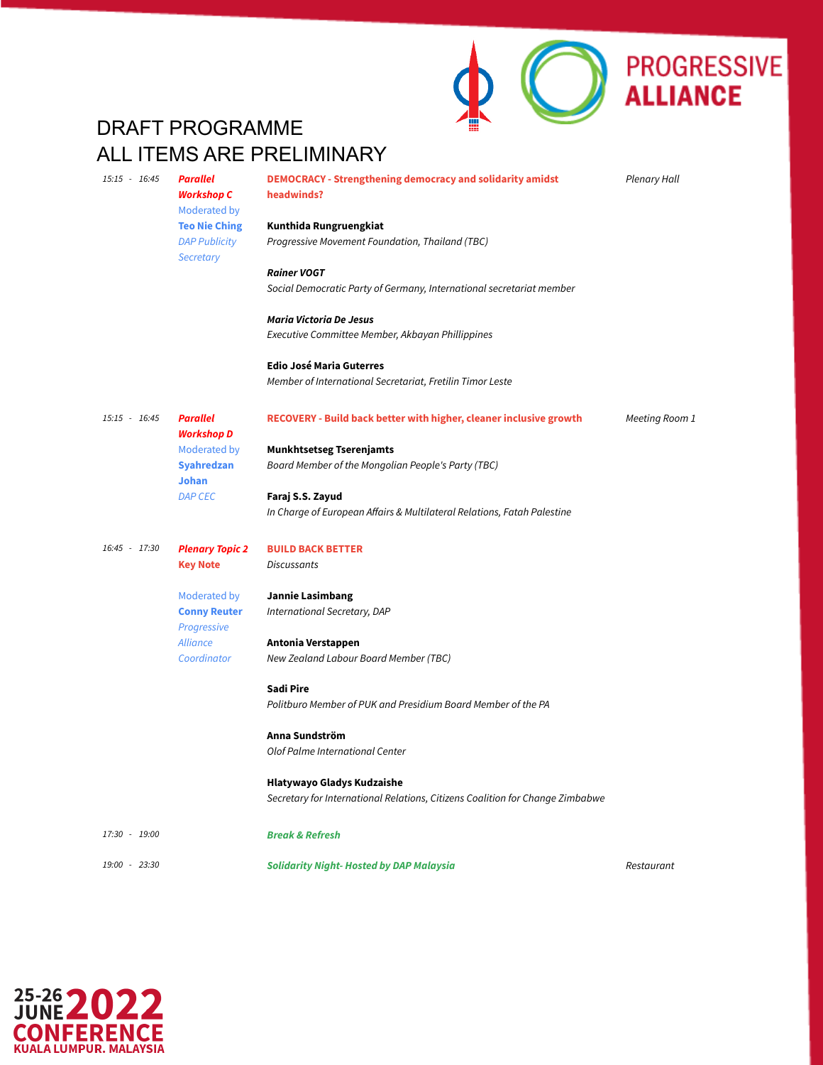

*15:15 - 16:45 Parallel Workshop C* Moderated by **Teo Nie Ching** *DAP Publicity Secretary* **DEMOCRACY - Strengthening democracy and solidarity amidst headwinds? Kunthida Rungruengkiat** *Progressive Movement Foundation, Thailand (TBC) Rainer VOGT Social Democratic Party of Germany, International secretariat member Maria Victoria De Jesus Executive Committee Member, Akbayan Phillippines* **Edio José Maria Guterres** *Member of International Secretariat, Fretilin Timor Leste Plenary Hall 15:15 - 16:45 Parallel Workshop D* Moderated by **Syahredzan Johan** *DAP CEC* **RECOVERY - Build back better with higher, cleaner inclusive growth Munkhtsetseg Tserenjamts** *Board Member of the Mongolian People's Party (TBC)* **Faraj S.S. Zayud** *In Charge of European Affairs & Multilateral Relations, Fatah Palestine Meeting Room 1 16:45 - 17:30 Plenary Topic 2* **Key Note** Moderated by **Conny Reuter** *Progressive Alliance Coordinator* **BUILD BACK BETTER** *Discussants* **Jannie Lasimbang** *International Secretary, DAP* **Antonia Verstappen** *New Zealand Labour Board Member (TBC)* **Sadi Pire** *Politburo Member of PUK and Presidium Board Member of the PA* **Anna Sundström** *Olof Palme International Center* **Hlatywayo Gladys Kudzaishe** *Secretary for International Relations, Citizens Coalition for Change Zimbabwe 17:30 - 19:00 Break & Refresh 19:00 - 23:30* 4 *Solidarity Night- Hosted by DAP Malaysia Restaurant*